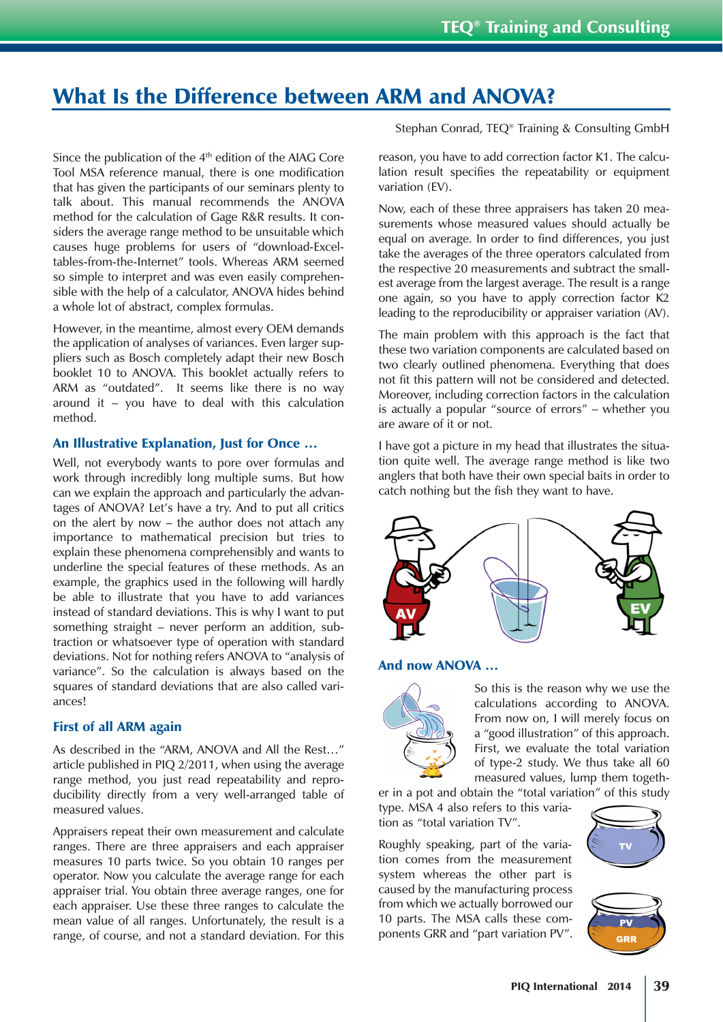## What Is the Difference between ARM and ANOVA?

Since the publication of the 4<sup>th</sup> edition of the AIAG Core Tool MSA reference manual, there is one modification that has given the participants of our seminars plenty to talk about. This manual recommends the ANOVA method for the calculation of Gage R&R results. It considers the average range method to be unsuitable which causes huge problems for users of "download-Exceltables-from-the-Internet" tools. Whereas ARM seemed so simple to interpret and was even easily comprehensible with the help of a calculator, ANOVA hides behind a whole lot of abstract, complex formulas.

However, in the meantime, almost every OEM demands the application of analyses of variances. Even larger suppliers such as Bosch completely adapt their new Bosch booklet 10 to ANOVA. This booklet actually refers to ARM as "outdated". It seems like there is no way around it – you have to deal with this calculation method.

## An Illustrative Explanation, Just for Once …

Well, not everybody wants to pore over formulas and work through incredibly long multiple sums. But how can we explain the approach and particularly the advantages of ANOVA? Let's have a try. And to put all critics on the alert by now – the author does not attach any importance to mathematical precision but tries to explain these phenomena comprehensibly and wants to underline the special features of these methods. As an example, the graphics used in the following will hardly be able to illustrate that you have to add variances instead of standard deviations. This is why I want to put something straight – never perform an addition, subtraction or whatsoever type of operation with standard deviations. Not for nothing refers ANOVA to "analysis of variance". So the calculation is always based on the squares of standard deviations that are also called variances!

## First of all ARM again

As described in the "ARM, ANOVA and All the Rest…" article published in PIQ 2/2011, when using the average range method, you just read repeatability and reproducibility directly from a very well-arranged table of measured values.

Appraisers repeat their own measurement and calculate ranges. There are three appraisers and each appraiser measures 10 parts twice. So you obtain 10 ranges per operator. Now you calculate the average range for each appraiser trial. You obtain three average ranges, one for each appraiser. Use these three ranges to calculate the mean value of all ranges. Unfortunately, the result is a range, of course, and not a standard deviation. For this Stephan Conrad, TEQ® Training & Consulting GmbH

reason, you have to add correction factor K1. The calculation result specifies the repeatability or equipment variation (EV).

Now, each of these three appraisers has taken 20 measurements whose measured values should actually be equal on average. In order to find differences, you just take the averages of the three operators calculated from the respective 20 measurements and subtract the smallest average from the largest average. The result is a range one again, so you have to apply correction factor K2 leading to the reproducibility or appraiser variation (AV).

The main problem with this approach is the fact that these two variation components are calculated based on two clearly outlined phenomena. Everything that does not fit this pattern will not be considered and detected. Moreover, including correction factors in the calculation is actually a popular "source of errors" – whether you are aware of it or not.

I have got a picture in my head that illustrates the situation quite well. The average range method is like two anglers that both have their own special baits in order to catch nothing but the fish they want to have.



## And now ANOVA …



So this is the reason why we use the calculations according to ANOVA. From now on, I will merely focus on a "good illustration" of this approach. First, we evaluate the total variation of type-2 study. We thus take all 60 measured values, lump them togeth-

er in a pot and obtain the "total variation" of this study type. MSA 4 also refers to this variation as "total variation TV".

Roughly speaking, part of the variation comes from the measurement system whereas the other part is caused by the manufacturing process from which we actually borrowed our 10 parts. The MSA calls these components GRR and "part variation PV".